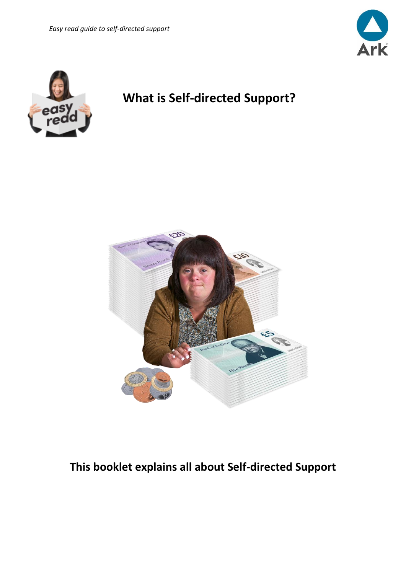



# **What is Self-directed Support?**



# **This booklet explains all about Self-directed Support**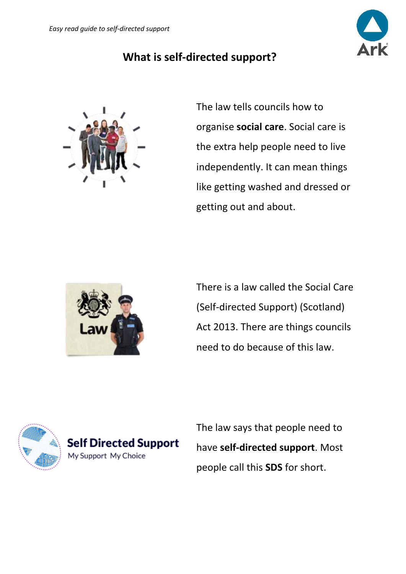

#### **What is self-directed support?**



The law tells councils how to organise **social care**. Social care is the extra help people need to live independently. It can mean things like getting washed and dressed or getting out and about.



There is a law called the Social Care (Self-directed Support) (Scotland) Act 2013. There are things councils need to do because of this law.



The law says that people need to have **self-directed support**. Most people call this **SDS** for short.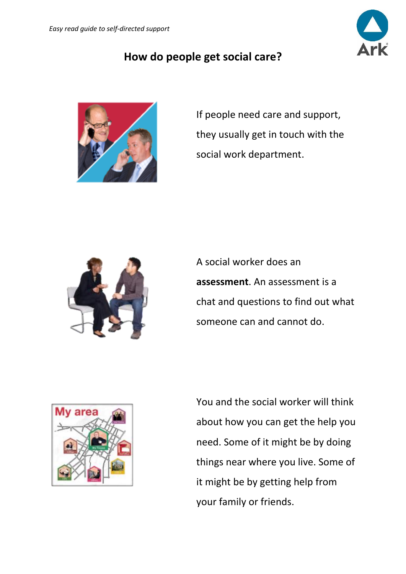

#### **How do people get social care?**



If people need care and support, they usually get in touch with the social work department.



A social worker does an **assessment**. An assessment is a chat and questions to find out what someone can and cannot do.



You and the social worker will think about how you can get the help you need. Some of it might be by doing things near where you live. Some of it might be by getting help from your family or friends.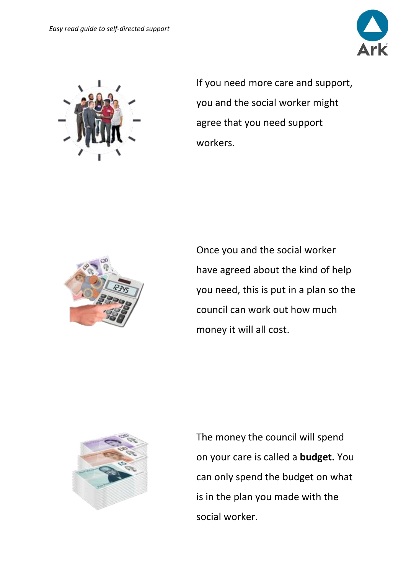



If you need more care and support, you and the social worker might agree that you need support workers.



Once you and the social worker have agreed about the kind of help you need, this is put in a plan so the council can work out how much money it will all cost.



The money the council will spend on your care is called a **budget.** You can only spend the budget on what is in the plan you made with the social worker.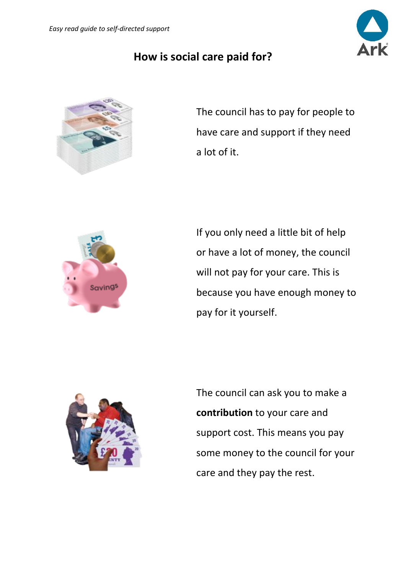## **How is social care paid for?**



The council has to pay for people to have care and support if they need a lot of it.



If you only need a little bit of help or have a lot of money, the council will not pay for your care. This is because you have enough money to pay for it yourself.



The council can ask you to make a **contribution** to your care and support cost. This means you pay some money to the council for your care and they pay the rest.

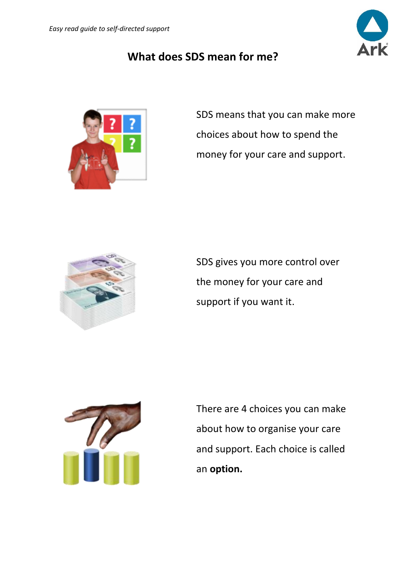## **What does SDS mean for me?**



SDS means that you can make more choices about how to spend the money for your care and support.



SDS gives you more control over the money for your care and support if you want it.



There are 4 choices you can make about how to organise your care and support. Each choice is called an **option.**

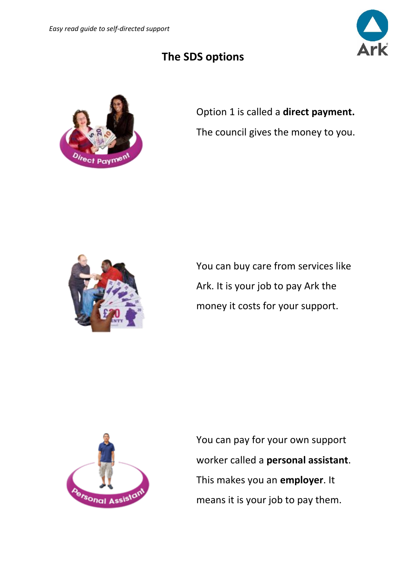# **The SDS options**



Option 1 is called a **direct payment.**  The council gives the money to you.



You can buy care from services like Ark. It is your job to pay Ark the money it costs for your support.



You can pay for your own support worker called a **personal assistant**. This makes you an **employer**. It means it is your job to pay them.

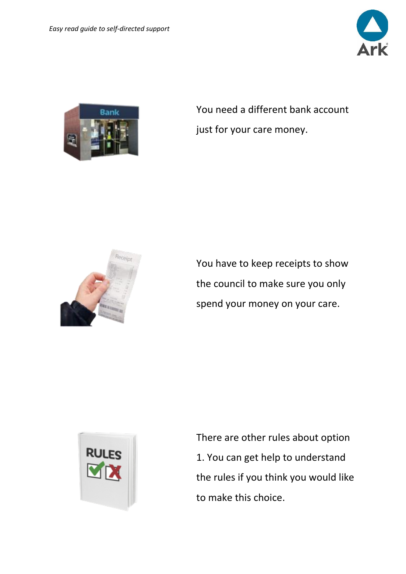



You need a different bank account just for your care money.



You have to keep receipts to show the council to make sure you only spend your money on your care.



There are other rules about option 1. You can get help to understand the rules if you think you would like to make this choice.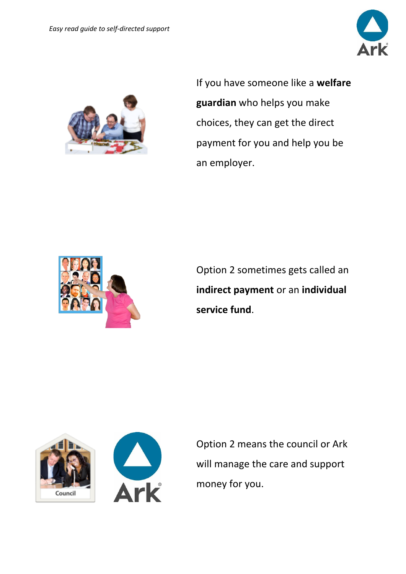



If you have someone like a **welfare guardian** who helps you make choices, they can get the direct payment for you and help you be an employer.



Option 2 sometimes gets called an **indirect payment** or an **individual service fund**.





Option 2 means the council or Ark will manage the care and support money for you.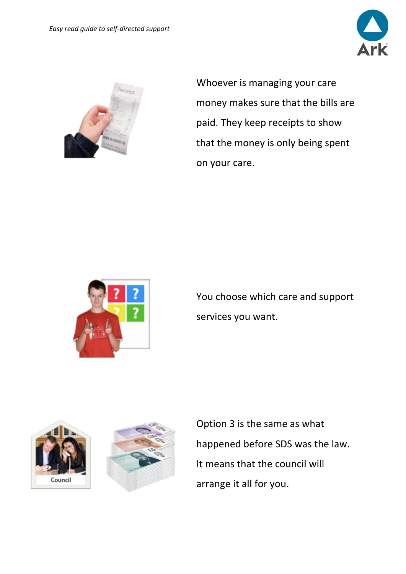



Whoever is managing your care money makes sure that the bills are paid. They keep receipts to show that the money is only being spent on your care.



You choose which care and support services you want.





Option 3 is the same as what happened before SDS was the law. It means that the council will arrange it all for you.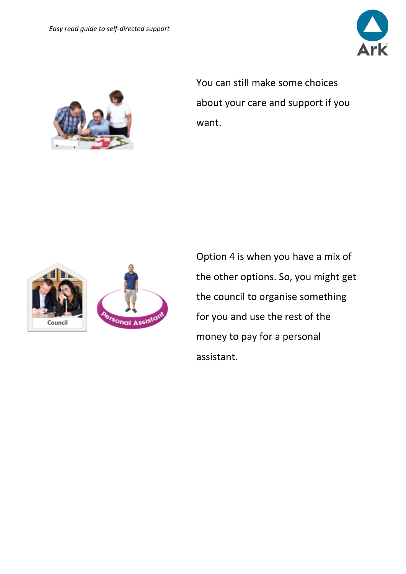



You can still make some choices about your care and support if you want.



Option 4 is when you have a mix of the other options. So, you might get the council to organise something for you and use the rest of the money to pay for a personal assistant.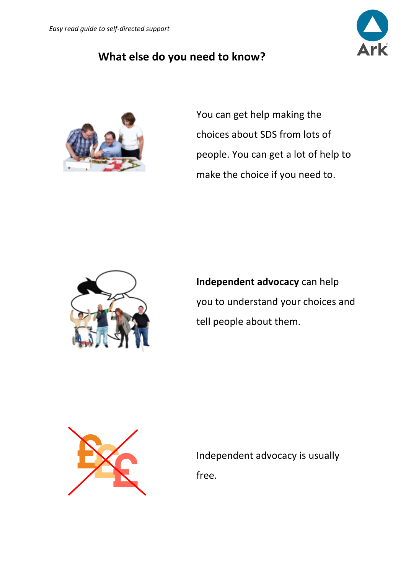#### **What else do you need to know?**



You can get help making the choices about SDS from lots of people. You can get a lot of help to make the choice if you need to.



**Independent advocacy** can help you to understand your choices and tell people about them.



Independent advocacy is usually free.

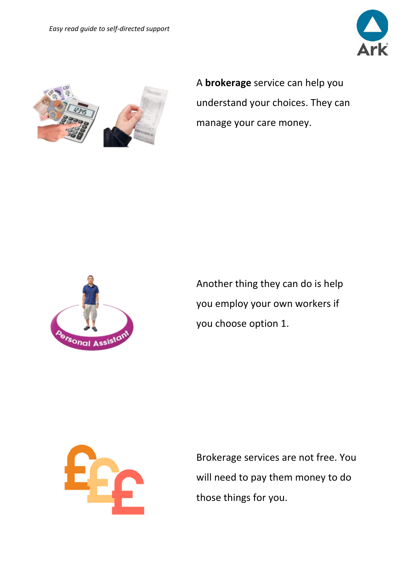



A **brokerage** service can help you understand your choices. They can manage your care money.



Another thing they can do is help you employ your own workers if you choose option 1.



Brokerage services are not free. You will need to pay them money to do those things for you.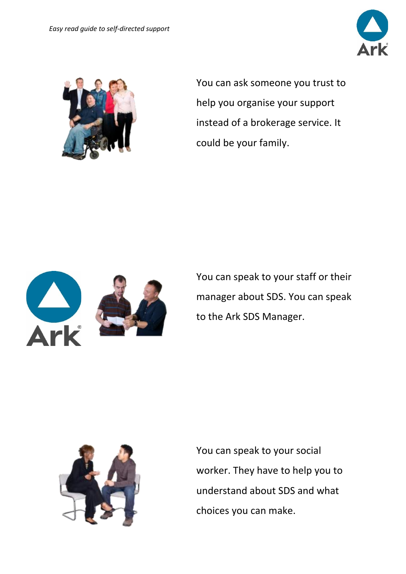



You can ask someone you trust to help you organise your support instead of a brokerage service. It could be your family.



You can speak to your staff or their manager about SDS. You can speak to the Ark SDS Manager.



You can speak to your social worker. They have to help you to understand about SDS and what choices you can make.